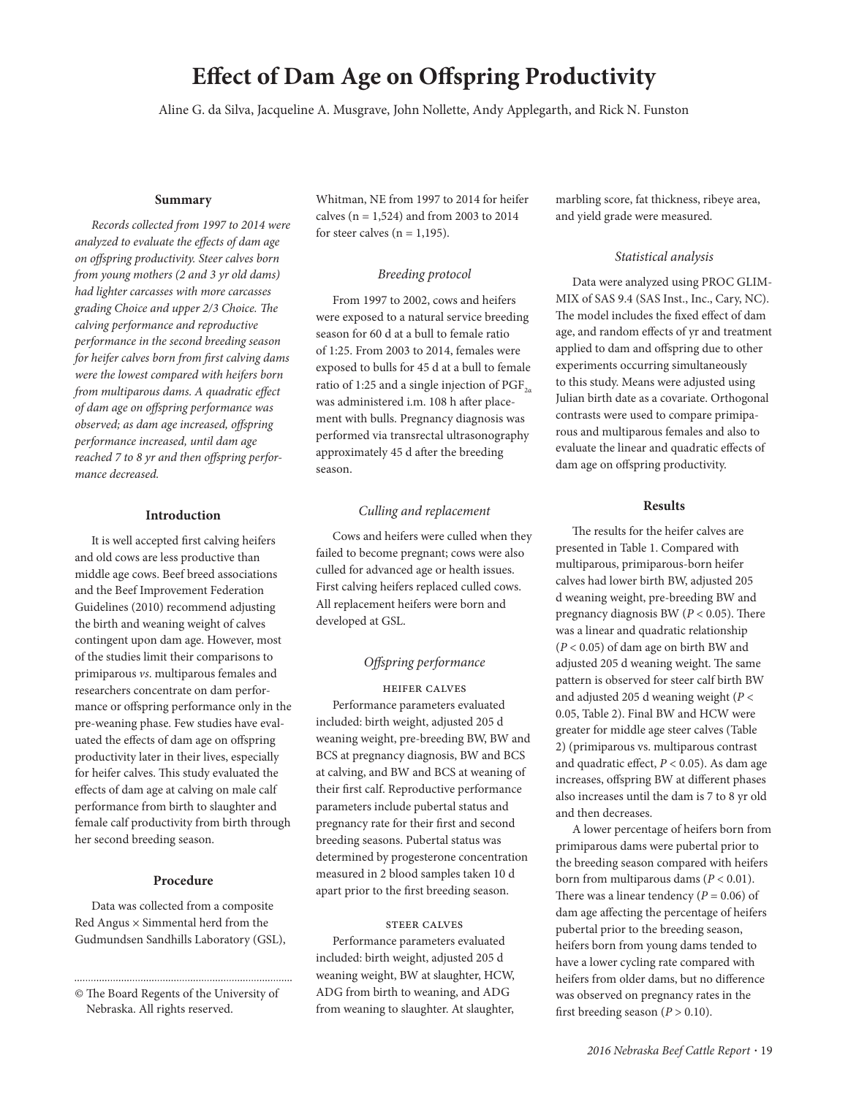# **Effect of Dam Age on Offspring Productivity**

Aline G. da Silva, Jacqueline A. Musgrave, John Nollette, Andy Applegarth, and Rick N. Funston

#### **Summary**

*Records collected from 1997 to 2014 were analyzed to evaluate the effects of dam age on off spring productivity. Steer calves born from young mothers (2 and 3 yr old dams) had lighter carcasses with more carcasses grading Choice and upper 2/3 Choice. The calving performance and reproductive performance in the second breeding season*  for heifer calves born from first calving dams *were the lowest compared with heifers born from multiparous dams. A quadratic effect of dam age on off spring performance was observed; as dam age increased, off spring performance increased, until dam age*  reached 7 to 8 yr and then offspring perfor*mance decreased.*

#### **Introduction**

It is well accepted first calving heifers and old cows are less productive than middle age cows. Beef breed associations and the Beef Improvement Federation Guidelines (2010) recommend adjusting the birth and weaning weight of calves contingent upon dam age. However, most of the studies limit their comparisons to primiparous *vs*. multiparous females and researchers concentrate on dam performance or offspring performance only in the pre- weaning phase. Few studies have evaluated the effects of dam age on offspring productivity later in their lives, especially for heifer calves. This study evaluated the effects of dam age at calving on male calf performance from birth to slaughter and female calf productivity from birth through her second breeding season.

#### **Procedure**

Data was collected from a composite Red Angus  $\times$  Simmental herd from the Gudmundsen Sandhills Laboratory (GSL),

© The Board Regents of the University of Nebraska. All rights reserved.

Whitman, NE from 1997 to 2014 for heifer calves ( $n = 1,524$ ) and from 2003 to 2014 for steer calves ( $n = 1,195$ ).

## *Breeding protocol*

From 1997 to 2002, cows and heifers were exposed to a natural service breeding season for 60 d at a bull to female ratio of 1:25. From 2003 to 2014, females were exposed to bulls for 45 d at a bull to female ratio of 1:25 and a single injection of  $PGF_{2a}$ was administered i.m. 108 h after placement with bulls. Pregnancy diagnosis was performed via transrectal ultrasonography approximately 45 d after the breeding season.

### *Culling and replacement*

Cows and heifers were culled when they failed to become pregnant; cows were also culled for advanced age or health issues. First calving heifers replaced culled cows. All replacement heifers were born and developed at GSL.

# *Off spring performance*

Heifer calves Performance parameters evaluated included: birth weight, adjusted 205 d weaning weight, pre- breeding BW, BW and BCS at pregnancy diagnosis, BW and BCS at calving, and BW and BCS at weaning of their first calf. Reproductive performance parameters include pubertal status and pregnancy rate for their first and second breeding seasons. Pubertal status was determined by progesterone concentration measured in 2 blood samples taken 10 d apart prior to the first breeding season.

### STEER CALVES

Performance parameters evaluated included: birth weight, adjusted 205 d weaning weight, BW at slaughter, HCW, ADG from birth to weaning, and ADG from weaning to slaughter. At slaughter,

marbling score, fat thickness, ribeye area, and yield grade were measured.

#### *Statistical analysis*

Data were analyzed using PROC GLIM-MIX of SAS 9.4 (SAS Inst., Inc., Cary, NC). The model includes the fixed effect of dam age, and random effects of yr and treatment applied to dam and offspring due to other experiments occurring simultaneously to this study. Means were adjusted using Julian birth date as a covariate. Orthogonal contrasts were used to compare primiparous and multiparous females and also to evaluate the linear and quadratic effects of dam age on offspring productivity.

### **Results**

The results for the heifer calves are presented in Table 1. Compared with multiparous, primiparous- born heifer calves had lower birth BW, adjusted 205 d weaning weight, pre- breeding BW and pregnancy diagnosis BW  $(P < 0.05)$ . There was a linear and quadratic relationship (*P* < 0.05) of dam age on birth BW and adjusted 205 d weaning weight. The same pattern is observed for steer calf birth BW and adjusted 205 d weaning weight (*P* < 0.05, Table 2). Final BW and HCW were greater for middle age steer calves (Table 2) (primiparous vs. multiparous contrast and quadratic effect,  $P < 0.05$ ). As dam age increases, offspring BW at different phases also increases until the dam is 7 to 8 yr old and then decreases.

A lower percentage of heifers born from primiparous dams were pubertal prior to the breeding season compared with heifers born from multiparous dams (*P* < 0.01). There was a linear tendency ( $P = 0.06$ ) of dam age affecting the percentage of heifers pubertal prior to the breeding season, heifers born from young dams tended to have a lower cycling rate compared with heifers from older dams, but no difference was observed on pregnancy rates in the first breeding season ( $P > 0.10$ ).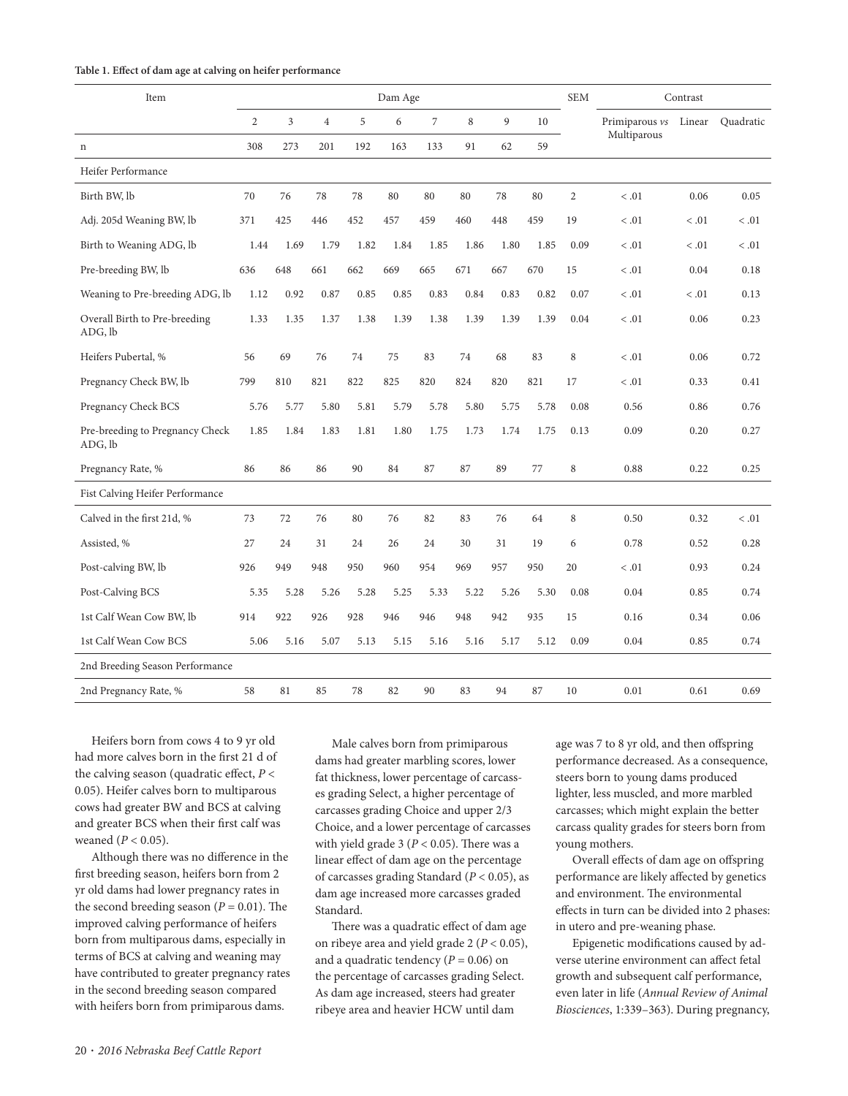|  |  |  |  |  | Table 1. Effect of dam age at calving on heifer performance |
|--|--|--|--|--|-------------------------------------------------------------|
|--|--|--|--|--|-------------------------------------------------------------|

| Item                                       | Dam Age        |      |                |      |      |                |      | <b>SEM</b> | Contrast |                |                |        |           |
|--------------------------------------------|----------------|------|----------------|------|------|----------------|------|------------|----------|----------------|----------------|--------|-----------|
|                                            | $\overline{c}$ | 3    | $\overline{4}$ | 5    | 6    | $\overline{7}$ | 8    | 9<br>62    | 10<br>59 |                | Primiparous vs | Linear | Quadratic |
| $\mathbf n$                                | 308            | 273  | 201            | 192  | 163  | 133            | 91   |            |          |                | Multiparous    |        |           |
| Heifer Performance                         |                |      |                |      |      |                |      |            |          |                |                |        |           |
| Birth BW, lb                               | 70             | 76   | 78             | 78   | 80   | 80             | 80   | 78         | 80       | $\overline{2}$ | < 0.01         | 0.06   | 0.05      |
| Adj. 205d Weaning BW, lb                   | 371            | 425  | 446            | 452  | 457  | 459            | 460  | 448        | 459      | 19             | < 0.01         | < 0.01 | < 0.01    |
| Birth to Weaning ADG, lb                   | 1.44           | 1.69 | 1.79           | 1.82 | 1.84 | 1.85           | 1.86 | 1.80       | 1.85     | 0.09           | < 0.01         | < 0.01 | < 0.01    |
| Pre-breeding BW, lb                        | 636            | 648  | 661            | 662  | 669  | 665            | 671  | 667        | 670      | 15             | < 0.01         | 0.04   | 0.18      |
| Weaning to Pre-breeding ADG, lb            | 1.12           | 0.92 | 0.87           | 0.85 | 0.85 | 0.83           | 0.84 | 0.83       | 0.82     | 0.07           | $<.01$         | < 0.01 | 0.13      |
| Overall Birth to Pre-breeding<br>ADG, lb   | 1.33           | 1.35 | 1.37           | 1.38 | 1.39 | 1.38           | 1.39 | 1.39       | 1.39     | 0.04           | < 0.01         | 0.06   | 0.23      |
| Heifers Pubertal, %                        | 56             | 69   | 76             | 74   | 75   | 83             | 74   | 68         | 83       | 8              | $<.01$         | 0.06   | 0.72      |
| Pregnancy Check BW, lb                     | 799            | 810  | 821            | 822  | 825  | 820            | 824  | 820        | 821      | 17             | $<.01$         | 0.33   | 0.41      |
| Pregnancy Check BCS                        | 5.76           | 5.77 | 5.80           | 5.81 | 5.79 | 5.78           | 5.80 | 5.75       | 5.78     | 0.08           | 0.56           | 0.86   | 0.76      |
| Pre-breeding to Pregnancy Check<br>ADG, lb | 1.85           | 1.84 | 1.83           | 1.81 | 1.80 | 1.75           | 1.73 | 1.74       | 1.75     | 0.13           | 0.09           | 0.20   | 0.27      |
| Pregnancy Rate, %                          | 86             | 86   | 86             | 90   | 84   | 87             | 87   | 89         | 77       | 8              | 0.88           | 0.22   | 0.25      |
| Fist Calving Heifer Performance            |                |      |                |      |      |                |      |            |          |                |                |        |           |
| Calved in the first 21d, %                 | 73             | 72   | 76             | 80   | 76   | 82             | 83   | 76         | 64       | 8              | 0.50           | 0.32   | < 0.01    |
| Assisted, %                                | 27             | 24   | 31             | 24   | 26   | 24             | 30   | 31         | 19       | 6              | 0.78           | 0.52   | 0.28      |
| Post-calving BW, lb                        | 926            | 949  | 948            | 950  | 960  | 954            | 969  | 957        | 950      | 20             | $<.01$         | 0.93   | 0.24      |
| Post-Calving BCS                           | 5.35           | 5.28 | 5.26           | 5.28 | 5.25 | 5.33           | 5.22 | 5.26       | 5.30     | 0.08           | 0.04           | 0.85   | 0.74      |
| 1st Calf Wean Cow BW, lb                   | 914            | 922  | 926            | 928  | 946  | 946            | 948  | 942        | 935      | 15             | 0.16           | 0.34   | 0.06      |
| 1st Calf Wean Cow BCS                      | 5.06           | 5.16 | 5.07           | 5.13 | 5.15 | 5.16           | 5.16 | 5.17       | 5.12     | 0.09           | 0.04           | 0.85   | 0.74      |
| 2nd Breeding Season Performance            |                |      |                |      |      |                |      |            |          |                |                |        |           |
| 2nd Pregnancy Rate, %                      | 58             | 81   | 85             | 78   | 82   | 90             | 83   | 94         | 87       | 10             | 0.01           | 0.61   | 0.69      |

Heifers born from cows 4 to 9 yr old had more calves born in the first 21 d of the calving season (quadratic effect,  $P <$ 0.05). Heifer calves born to multiparous cows had greater BW and BCS at calving and greater BCS when their first calf was weaned (*P* < 0.05).

Although there was no difference in the first breeding season, heifers born from 2 yr old dams had lower pregnancy rates in the second breeding season ( $P = 0.01$ ). The improved calving performance of heifers born from multiparous dams, especially in terms of BCS at calving and weaning may have contributed to greater pregnancy rates in the second breeding season compared with heifers born from primiparous dams.

Male calves born from primiparous dams had greater marbling scores, lower fat thickness, lower percentage of carcasses grading Select, a higher percentage of carcasses grading Choice and upper 2/3 Choice, and a lower percentage of carcasses with yield grade  $3 (P < 0.05)$ . There was a linear effect of dam age on the percentage of carcasses grading Standard (*P* < 0.05), as dam age increased more carcasses graded Standard.

There was a quadratic effect of dam age on ribeye area and yield grade 2 (*P* < 0.05), and a quadratic tendency  $(P = 0.06)$  on the percentage of carcasses grading Select. As dam age increased, steers had greater ribeye area and heavier HCW until dam

age was 7 to 8 yr old, and then offspring performance decreased. As a consequence, steers born to young dams produced lighter, less muscled, and more marbled carcasses; which might explain the better carcass quality grades for steers born from young mothers.

Overall effects of dam age on offspring performance are likely affected by genetics and environment. The environmental effects in turn can be divided into 2 phases: in utero and pre- weaning phase.

Epigenetic modifications caused by adverse uterine environment can affect fetal growth and subsequent calf performance, even later in life (*Annual Review of Animal*  Biosciences, 1:339-363). During pregnancy,